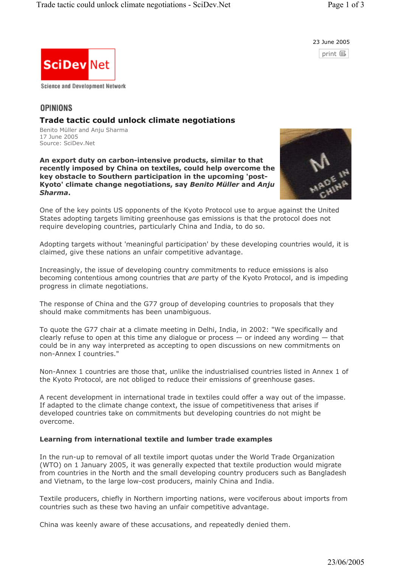

print 国



# **OPINIONS**

# **Trade tactic could unlock climate negotiations**

Benito Müller and Anju Sharma 17 June 2005 Source: SciDev.Net

**An export duty on carbon-intensive products, similar to that recently imposed by China on textiles, could help overcome the key obstacle to Southern participation in the upcoming 'post-Kyoto' climate change negotiations, say** *Benito Müller* **and** *Anju Sharma***.**



One of the key points US opponents of the Kyoto Protocol use to argue against the United States adopting targets limiting greenhouse gas emissions is that the protocol does not require developing countries, particularly China and India, to do so.

Adopting targets without 'meaningful participation' by these developing countries would, it is claimed, give these nations an unfair competitive advantage.

Increasingly, the issue of developing country commitments to reduce emissions is also becoming contentious among countries that *are* party of the Kyoto Protocol, and is impeding progress in climate negotiations.

The response of China and the G77 group of developing countries to proposals that they should make commitments has been unambiguous.

To quote the G77 chair at a climate meeting in Delhi, India, in 2002: "We specifically and clearly refuse to open at this time any dialogue or process  $-$  or indeed any wording  $-$  that could be in any way interpreted as accepting to open discussions on new commitments on non-Annex I countries."

Non-Annex 1 countries are those that, unlike the industrialised countries listed in Annex 1 of the Kyoto Protocol, are not obliged to reduce their emissions of greenhouse gases.

A recent development in international trade in textiles could offer a way out of the impasse. If adapted to the climate change context, the issue of competitiveness that arises if developed countries take on commitments but developing countries do not might be overcome.

# **Learning from international textile and lumber trade examples**

In the run-up to removal of all textile import quotas under the World Trade Organization (WTO) on 1 January 2005, it was generally expected that textile production would migrate from countries in the North and the small developing country producers such as Bangladesh and Vietnam, to the large low-cost producers, mainly China and India.

Textile producers, chiefly in Northern importing nations, were vociferous about imports from countries such as these two having an unfair competitive advantage.

China was keenly aware of these accusations, and repeatedly denied them.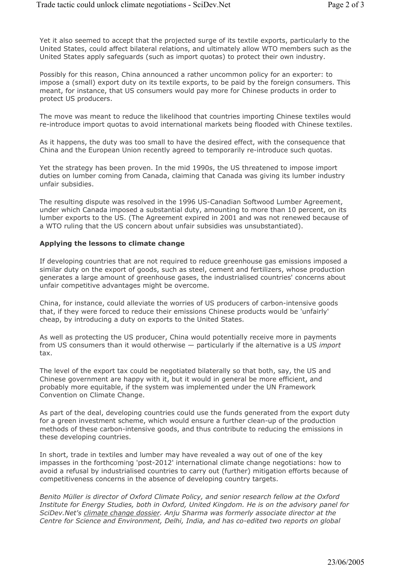Yet it also seemed to accept that the projected surge of its textile exports, particularly to the United States, could affect bilateral relations, and ultimately allow WTO members such as the United States apply safeguards (such as import quotas) to protect their own industry.

Possibly for this reason, China announced a rather uncommon policy for an exporter: to impose a (small) export duty on its textile exports, to be paid by the foreign consumers. This meant, for instance, that US consumers would pay more for Chinese products in order to protect US producers.

The move was meant to reduce the likelihood that countries importing Chinese textiles would re-introduce import quotas to avoid international markets being flooded with Chinese textiles.

As it happens, the duty was too small to have the desired effect, with the consequence that China and the European Union recently agreed to temporarily re-introduce such quotas.

Yet the strategy has been proven. In the mid 1990s, the US threatened to impose import duties on lumber coming from Canada, claiming that Canada was giving its lumber industry unfair subsidies.

The resulting dispute was resolved in the 1996 US-Canadian Softwood Lumber Agreement, under which Canada imposed a substantial duty, amounting to more than 10 percent, on its lumber exports to the US. (The Agreement expired in 2001 and was not renewed because of a WTO ruling that the US concern about unfair subsidies was unsubstantiated).

## **Applying the lessons to climate change**

If developing countries that are not required to reduce greenhouse gas emissions imposed a similar duty on the export of goods, such as steel, cement and fertilizers, whose production generates a large amount of greenhouse gases, the industrialised countries' concerns about unfair competitive advantages might be overcome.

China, for instance, could alleviate the worries of US producers of carbon-intensive goods that, if they were forced to reduce their emissions Chinese products would be 'unfairly' cheap, by introducing a duty on exports to the United States.

As well as protecting the US producer, China would potentially receive more in payments from US consumers than it would otherwise — particularly if the alternative is a US *import* tax.

The level of the export tax could be negotiated bilaterally so that both, say, the US and Chinese government are happy with it, but it would in general be more efficient, and probably more equitable, if the system was implemented under the UN Framework Convention on Climate Change.

As part of the deal, developing countries could use the funds generated from the export duty for a green investment scheme, which would ensure a further clean-up of the production methods of these carbon-intensive goods, and thus contribute to reducing the emissions in these developing countries.

In short, trade in textiles and lumber may have revealed a way out of one of the key impasses in the forthcoming 'post-2012' international climate change negotiations: how to avoid a refusal by industrialised countries to carry out (further) mitigation efforts because of competitiveness concerns in the absence of developing country targets.

*Benito Müller is director of Oxford Climate Policy, and senior research fellow at the Oxford Institute for Energy Studies, both in Oxford, United Kingdom. He is on the advisory panel for SciDev.Net's climate change dossier. Anju Sharma was formerly associate director at the Centre for Science and Environment, Delhi, India, and has co-edited two reports on global*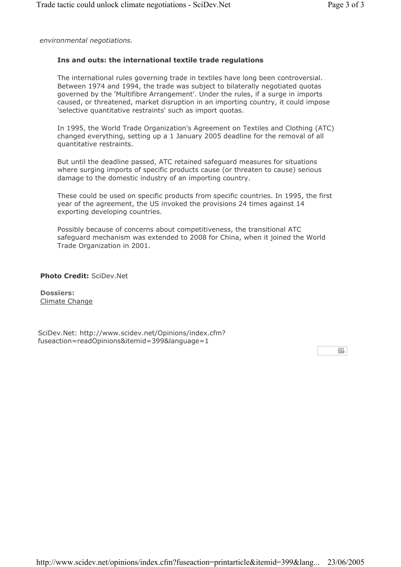*environmental negotiations.*

# **Ins and outs: the international textile trade regulations**

The international rules governing trade in textiles have long been controversial. Between 1974 and 1994, the trade was subject to bilaterally negotiated quotas governed by the 'Multifibre Arrangement'. Under the rules, if a surge in imports caused, or threatened, market disruption in an importing country, it could impose 'selective quantitative restraints' such as import quotas.

In 1995, the World Trade Organization's Agreement on Textiles and Clothing (ATC) changed everything, setting up a 1 January 2005 deadline for the removal of all quantitative restraints.

But until the deadline passed, ATC retained safeguard measures for situations where surging imports of specific products cause (or threaten to cause) serious damage to the domestic industry of an importing country.

These could be used on specific products from specific countries. In 1995, the first year of the agreement, the US invoked the provisions 24 times against 14 exporting developing countries.

Possibly because of concerns about competitiveness, the transitional ATC safeguard mechanism was extended to 2008 for China, when it joined the World Trade Organization in 2001.

**Photo Credit:** SciDev.Net

**Dossiers:** Climate Change

SciDev.Net: http://www.scidev.net/Opinions/index.cfm? fuseaction=readOpinions&itemid=399&language=1

国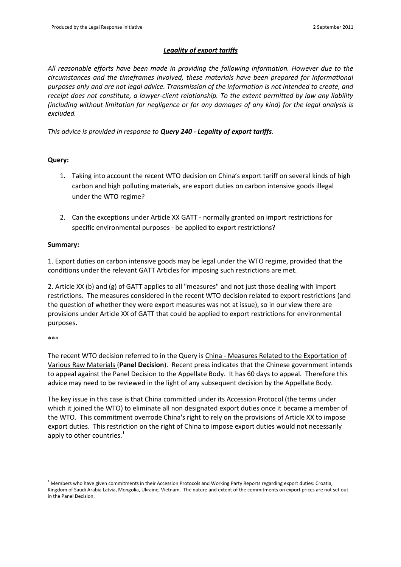# *Legality of export tariffs*

*All reasonable efforts have been made in providing the following information. However due to the circumstances and the timeframes involved, these materials have been prepared for informational purposes only and are not legal advice. Transmission of the information is not intended to create, and receipt does not constitute, a lawyer-client relationship. To the extent permitted by law any liability (including without limitation for negligence or for any damages of any kind) for the legal analysis is excluded.*

*This advice is provided in response to Query 240 - Legality of export tariffs*.

## **Query:**

- 1. Taking into account the recent WTO decision on China's export tariff on several kinds of high carbon and high polluting materials, are export duties on carbon intensive goods illegal under the WTO regime?
- 2. Can the exceptions under Article XX GATT normally granted on import restrictions for specific environmental purposes - be applied to export restrictions?

## **Summary:**

1. Export duties on carbon intensive goods may be legal under the WTO regime, provided that the conditions under the relevant GATT Articles for imposing such restrictions are met.

2. Article XX (b) and (g) of GATT applies to all "measures" and not just those dealing with import restrictions. The measures considered in the recent WTO decision related to export restrictions (and the question of whether they were export measures was not at issue), so in our view there are provisions under Article XX of GATT that could be applied to export restrictions for environmental purposes.

#### \*\*\*

The recent WTO decision referred to in the Query is China - Measures Related to the Exportation of Various Raw Materials (**Panel Decision**). Recent press indicates that the Chinese government intends to appeal against the Panel Decision to the Appellate Body. It has 60 days to appeal. Therefore this advice may need to be reviewed in the light of any subsequent decision by the Appellate Body.

The key issue in this case is that China committed under its Accession Protocol (the terms under which it joined the WTO) to eliminate all non designated export duties once it became a member of the WTO. This commitment overrode China's right to rely on the provisions of Article XX to impose export duties. This restriction on the right of China to impose export duties would not necessarily apply to other countries. $<sup>1</sup>$ </sup>

 $1$  Members who have given commitments in their Accession Protocols and Working Party Reports regarding export duties: Croatia, Kingdom of Saudi Arabia Latvia, Mongolia, Ukraine, Vietnam. The nature and extent of the commitments on export prices are not set out in the Panel Decision.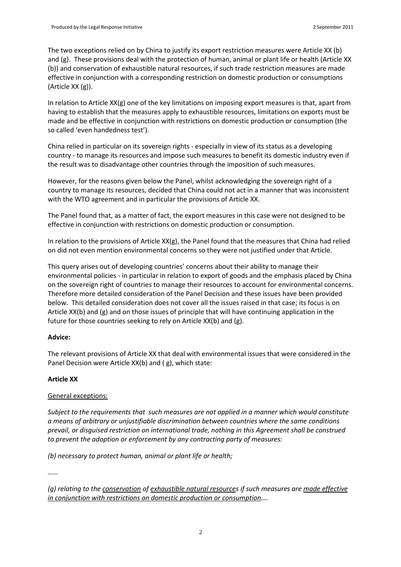The two exceptions relied on by China to justify its export restriction measures were Article XX (b) and (g). These provisions deal with the protection of human, animal or plant life or health (Article XX (b)) and conservation of exhaustible natural resources, if such trade restriction measures are made effective in conjunction with a corresponding restriction on domestic production or consumptions (Article XX (g)).

In relation to Article XX(g) one of the key limitations on imposing export measures is that, apart from having to establish that the measures apply to exhaustible resources, limitations on exports must be made and be effective in conjunction with restrictions on domestic production or consumption (the so called 'even handedness test').

China relied in particular on its sovereign rights - especially in view of its status as a developing country - to manage its resources and impose such measures to benefit its domestic industry even if the result was to disadvantage other countries through the imposition of such measures.

However, for the reasons given below the Panel, whilst acknowledging the sovereign right of a country to manage its resources, decided that China could not act in a manner that was inconsistent with the WTO agreement and in particular the provisions of Article XX.

The Panel found that, as a matter of fact, the export measures in this case were not designed to be effective in conjunction with restrictions on domestic production or consumption.

In relation to the provisions of Article XX(g), the Panel found that the measures that China had relied on did not even mention environmental concerns so they were not justified under that Article.

This query arises out of developing countries' concerns about their ability to manage their environmental policies - in particular in relation to export of goods and the emphasis placed by China on the sovereign right of countries to manage their resources to account for environmental concerns. Therefore more detailed consideration of the Panel Decision and these issues have been provided below. This detailed consideration does not cover all the issues raised in that case; its focus is on Article XX(b) and (g) and on those issues of principle that will have continuing application in the future for those countries seeking to rely on Article XX(b) and (g).

## **Advice:**

The relevant provisions of Article XX that deal with environmental issues that were considered in the Panel Decision were Article XX(b) and ( g), which state:

## **Article XX**

## General exceptions:

*Subject to the requirements that such measures are not applied in a manner which would constitute a means of arbitrary or unjustifiable discrimination between countries where the same conditions prevail, or disguised restriction on international trade, nothing in this Agreement shall be construed to prevent the adoption or enforcement by any contracting party of measures:*

*(b) necessary to protect human, animal or plant life or health;*

*……*

*(g) relating to the conservation of exhaustible natural resources if such measures are made effective in conjunction with restrictions on domestic production or consumption….*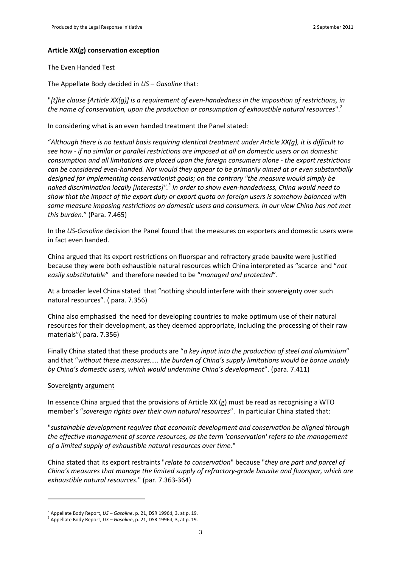#### **Article XX(g) conservation exception**

#### The Even Handed Test

The Appellate Body decided in *US – Gasoline* that:

"*[t]he clause [Article XX(g)] is a requirement of even-handedness in the imposition of restrictions, in the name of conservation, upon the production or consumption of exhaustible natural resources*".<sup>2</sup>

In considering what is an even handed treatment the Panel stated:

"*Although there is no textual basis requiring identical treatment under Article XX(g), it is difficult to see how - if no similar or parallel restrictions are imposed at all on domestic users or on domestic consumption and all limitations are placed upon the foreign consumers alone - the export restrictions can be considered even-handed. Nor would they appear to be primarily aimed at or even substantially designed for implementing conservationist goals; on the contrary "the measure would simply be naked discrimination locally [interests]".<sup>3</sup> In order to show even-handedness, China would need to show that the impact of the export duty or export quota on foreign users is somehow balanced with some measure imposing restrictions on domestic users and consumers. In our view China has not met this burden*." (Para. 7.465)

In the *US-Gasoline* decision the Panel found that the measures on exporters and domestic users were in fact even handed.

China argued that its export restrictions on fluorspar and refractory grade bauxite were justified because they were both exhaustible natural resources which China interpreted as "scarce and "*not easily substitutable*" and therefore needed to be "*managed and protected*".

At a broader level China stated that "nothing should interfere with their sovereignty over such natural resources". ( para. 7.356)

China also emphasised the need for developing countries to make optimum use of their natural resources for their development, as they deemed appropriate, including the processing of their raw materials"( para. 7.356)

Finally China stated that these products are "*a key input into the production of steel and aluminium*" and that "*without these measures….. the burden of China's supply limitations would be borne unduly by China's domestic users, which would undermine China's development*". (para. 7.411)

#### Sovereignty argument

In essence China argued that the provisions of Article XX (g) must be read as recognising a WTO member's "*sovereign rights over their own natural resources*". In particular China stated that:

"*sustainable development requires that economic development and conservation be aligned through the effective management of scarce resources, as the term 'conservation' refers to the management of a limited supply of exhaustible natural resources over time.*"

China stated that its export restraints "*relate to conservation*" because "*they are part and parcel of China's measures that manage the limited supply of refractory-grade bauxite and fluorspar, which are exhaustible natural resources.*" (par. 7.363-364)

<sup>2</sup> Appellate Body Report, *US – Gasoline*, p. 21, DSR 1996:I, 3, at p. 19.

<sup>3</sup> Appellate Body Report, *US – Gasoline*, p. 21, DSR 1996:I, 3, at p. 19.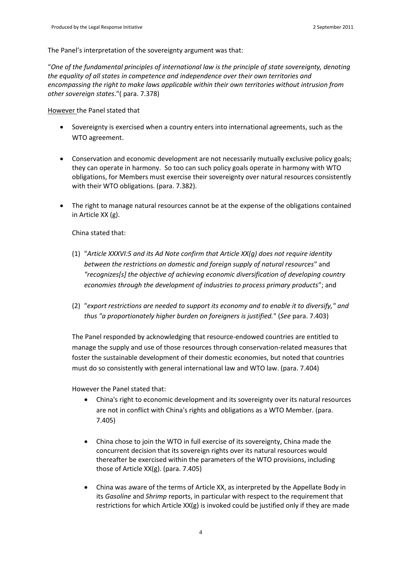The Panel's interpretation of the sovereignty argument was that:

"*One of the fundamental principles of international law is the principle of state sovereignty, denoting the equality of all states in competence and independence over their own territories and encompassing the right to make laws applicable within their own territories without intrusion from other sovereign states*."( para. 7.378)

However the Panel stated that

- Sovereignty is exercised when a country enters into international agreements, such as the WTO agreement.
- Conservation and economic development are not necessarily mutually exclusive policy goals; they can operate in harmony. So too can such policy goals operate in harmony with WTO obligations, for Members must exercise their sovereignty over natural resources consistently with their WTO obligations. (para. 7.382).
- The right to manage natural resources cannot be at the expense of the obligations contained in Article XX (g).

China stated that:

- (1) "*Article XXXVI:5 and its Ad Note confirm that Article XX(g) does not require identity between the restrictions on domestic and foreign supply of natural resources*" and *"recognizes[s] the objective of achieving economic diversification of developing country economies through the development of industries to process primary products*"; and
- (2) "*export restrictions are needed to support its economy and to enable it to diversify," and thus "a proportionately higher burden on foreigners is justified.*" (*See* para. 7.403)

The Panel responded by acknowledging that resource-endowed countries are entitled to manage the supply and use of those resources through conservation-related measures that foster the sustainable development of their domestic economies, but noted that countries must do so consistently with general international law and WTO law. (para. 7.404)

However the Panel stated that:

- China's right to economic development and its sovereignty over its natural resources are not in conflict with China's rights and obligations as a WTO Member. (para. 7.405)
- China chose to join the WTO in full exercise of its sovereignty, China made the concurrent decision that its sovereign rights over its natural resources would thereafter be exercised within the parameters of the WTO provisions, including those of Article XX(g). (para. 7.405)
- China was aware of the terms of Article XX, as interpreted by the Appellate Body in its *Gasoline* and *Shrimp* reports, in particular with respect to the requirement that restrictions for which Article  $XX(g)$  is invoked could be justified only if they are made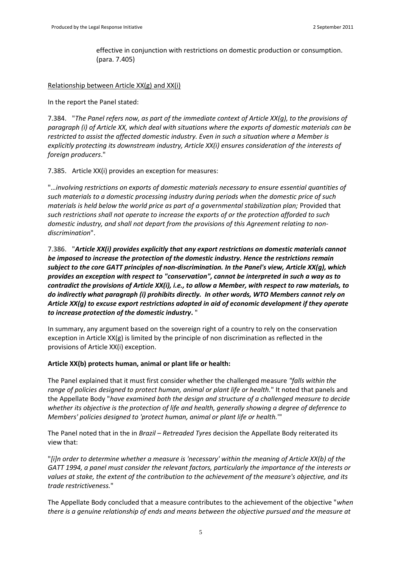effective in conjunction with restrictions on domestic production or consumption. (para. 7.405)

Relationship between Article XX(g) and XX(i)

In the report the Panel stated:

7.384. "*The Panel refers now, as part of the immediate context of Article XX(g), to the provisions of paragraph (i) of Article XX, which deal with situations where the exports of domestic materials can be restricted to assist the affected domestic industry. Even in such a situation where a Member is explicitly protecting its downstream industry, Article XX(i) ensures consideration of the interests of foreign producers*."

7.385. Article XX(i) provides an exception for measures:

"…*involving restrictions on exports of domestic materials necessary to ensure essential quantities of such materials to a domestic processing industry during periods when the domestic price of such materials is held below the world price as part of a governmental stabilization plan;* Provided that *such restrictions shall not operate to increase the exports of or the protection afforded to such domestic industry, and shall not depart from the provisions of this Agreement relating to nondiscrimination*".

7.386. "*Article XX(i) provides explicitly that any export restrictions on domestic materials cannot be imposed to increase the protection of the domestic industry. Hence the restrictions remain subject to the core GATT principles of non-discrimination. In the Panel's view, Article XX(g), which provides an exception with respect to "conservation", cannot be interpreted in such a way as to contradict the provisions of Article XX(i), i.e., to allow a Member, with respect to raw materials, to do indirectly what paragraph (i) prohibits directly. In other words, WTO Members cannot rely on Article XX(g) to excuse export restrictions adopted in aid of economic development if they operate to increase protection of the domestic industry***.** "

In summary, any argument based on the sovereign right of a country to rely on the conservation exception in Article  $XX(g)$  is limited by the principle of non discrimination as reflected in the provisions of Article XX(i) exception.

# **Article XX(b) protects human, animal or plant life or health:**

The Panel explained that it must first consider whether the challenged measure *"falls within the range of policies designed to protect human, animal or plant life or health.*" It noted that panels and the Appellate Body "*have examined both the design and structure of a challenged measure to decide whether its objective is the protection of life and health, generally showing a degree of deference to Members' policies designed to 'protect human, animal or plant life or health.*'"

The Panel noted that in the in *Brazil – Retreaded Tyres* decision the Appellate Body reiterated its view that:

"*[i]n order to determine whether a measure is 'necessary' within the meaning of Article XX(b) of the GATT 1994, a panel must consider the relevant factors, particularly the importance of the interests or values at stake, the extent of the contribution to the achievement of the measure's objective, and its trade restrictiveness.*"

The Appellate Body concluded that a measure contributes to the achievement of the objective "*when there is a genuine relationship of ends and means between the objective pursued and the measure at*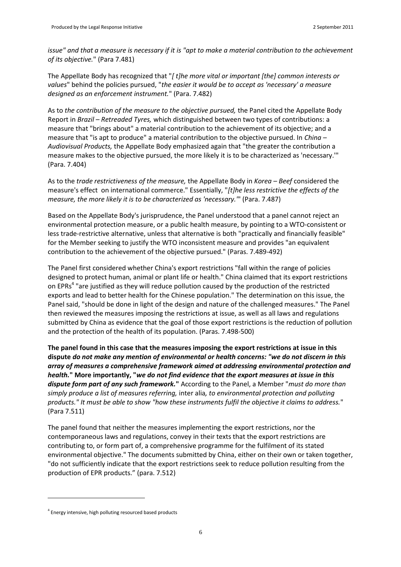*issue" and that a measure is necessary if it is "apt to make a material contribution to the achievement of its objective.*" (Para 7.481)

The Appellate Body has recognized that "*[ t]he more vital or important [the] common interests or values*" behind the policies pursued, "*the easier it would be to accept as 'necessary' a measure designed as an enforcement instrument.*" (Para. 7.482)

As to *the contribution of the measure to the objective pursued,* the Panel cited the Appellate Body Report in *Brazil – Retreaded Tyres,* which distinguished between two types of contributions: a measure that "brings about" a material contribution to the achievement of its objective; and a measure that "is apt to produce" a material contribution to the objective pursued. In *China – Audiovisual Products,* the Appellate Body emphasized again that "the greater the contribution a measure makes to the objective pursued, the more likely it is to be characterized as 'necessary.'" (Para. 7.404)

As to the *trade restrictiveness of the measure,* the Appellate Body in *Korea – Beef* considered the measure's effect on international commerce." Essentially, "*[t]he less restrictive the effects of the measure, the more likely it is to be characterized as 'necessary.'*" (Para. 7.487)

Based on the Appellate Body's jurisprudence, the Panel understood that a panel cannot reject an environmental protection measure, or a public health measure, by pointing to a WTO-consistent or less trade-restrictive alternative, unless that alternative is both "practically and financially feasible" for the Member seeking to justify the WTO inconsistent measure and provides "an equivalent contribution to the achievement of the objective pursued." (Paras. 7.489-492)

The Panel first considered whether China's export restrictions "fall within the range of policies designed to protect human, animal or plant life or health." China claimed that its export restrictions on EPRs<sup>4</sup> "are justified as they will reduce pollution caused by the production of the restricted exports and lead to better health for the Chinese population." The determination on this issue, the Panel said, "should be done in light of the design and nature of the challenged measures." The Panel then reviewed the measures imposing the restrictions at issue, as well as all laws and regulations submitted by China as evidence that the goal of those export restrictions is the reduction of pollution and the protection of the health of its population. (Paras. 7.498-500)

**The panel found in this case that the measures imposing the export restrictions at issue in this dispute** *do not make any mention of environmental or health concerns: "we do not discern in this array of measures a comprehensive framework aimed at addressing environmental protection and health.***" More importantly, "***we do not find evidence that the export measures at issue in this dispute form part of any such framework.***"** According to the Panel, a Member "*must do more than simply produce a list of measures referring,* inter alia*, to environmental protection and polluting products." It must be able to show "how these instruments fulfil the objective it claims to address.*" (Para 7.511)

The panel found that neither the measures implementing the export restrictions, nor the contemporaneous laws and regulations, convey in their texts that the export restrictions are contributing to, or form part of, a comprehensive programme for the fulfilment of its stated environmental objective." The documents submitted by China, either on their own or taken together, "do not sufficiently indicate that the export restrictions seek to reduce pollution resulting from the production of EPR products." (para. 7.512)

<sup>&</sup>lt;sup>4</sup> Energy intensive, high polluting resourced based products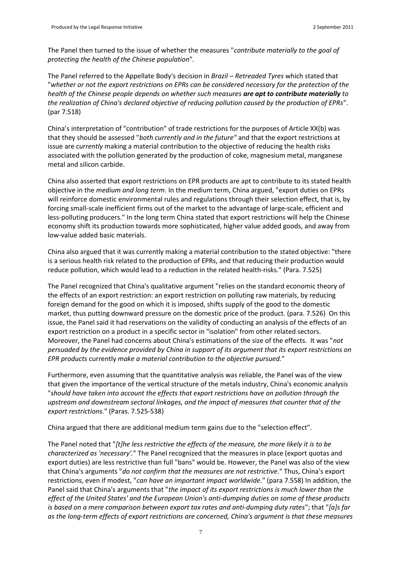The Panel then turned to the issue of whether the measures "*contribute materially to the goal of protecting the health of the Chinese population*"*.*

The Panel referred to the Appellate Body's decision in *Brazil – Retreaded Tyres* which stated that "*whether or not the export restrictions on EPRs can be considered necessary for the protection of the health of the Chinese people depends on whether such measures are apt to contribute materially to the realization of China's declared objective of reducing pollution caused by the production of EPRs*". (par 7.518)

China's interpretation of "contribution" of trade restrictions for the purposes of Article XX(b) was that they should be assessed "*both currently and in the future"* and that the export restrictions at issue are *currently* making a material contribution to the objective of reducing the health risks associated with the pollution generated by the production of coke, magnesium metal, manganese metal and silicon carbide.

China also asserted that export restrictions on EPR products are apt to contribute to its stated health objective in the *medium and long term*. In the medium term, China argued, "export duties on EPRs will reinforce domestic environmental rules and regulations through their selection effect, that is, by forcing small-scale inefficient firms out of the market to the advantage of large-scale, efficient and less-polluting producers." In the long term China stated that export restrictions will help the Chinese economy shift its production towards more sophisticated, higher value added goods, and away from low-value added basic materials.

China also argued that it was currently making a material contribution to the stated objective: "there is a serious health risk related to the production of EPRs, and that reducing their production would reduce pollution, which would lead to a reduction in the related health-risks." (Para. 7.525)

The Panel recognized that China's qualitative argument "relies on the standard economic theory of the effects of an export restriction: an export restriction on polluting raw materials, by reducing foreign demand for the good on which it is imposed, shifts supply of the good to the domestic market, thus putting downward pressure on the domestic price of the product. (para. 7.526) On this issue, the Panel said it had reservations on the validity of conducting an analysis of the effects of an export restriction on a product in a specific sector in "isolation" from other related sectors. Moreover, the Panel had concerns about China's estimations of the size of the effects. It was "*not persuaded by the evidence provided by China in support of its argument that its export restrictions on EPR products* currently *make a material contribution to the objective pursued.*"

Furthermore, even assuming that the quantitative analysis was reliable, the Panel was of the view that given the importance of the vertical structure of the metals industry, China's economic analysis "*should have taken into account the effects that export restrictions have on pollution through the upstream and downstream sectoral linkages, and the impact of measures that counter that of the export restrictions.*" (Paras. 7.525-538)

China argued that there are additional medium term gains due to the "selection effect".

The Panel noted that "*[t]he less restrictive the effects of the measure, the more likely it is to be characterized as 'necessary'.*" The Panel recognized that the measures in place (export quotas and export duties) are less restrictive than full "bans" would be. However, the Panel was also of the view that China's arguments "*do not confirm that the measures are not restrictive*." Thus, China's export restrictions, even if modest, "*can have an important impact worldwide.*" (para 7.558) In addition, the Panel said that China's arguments that "*the impact of its export restrictions is much lower than the effect of the United States' and the European Union's anti-dumping duties on some of these products is based on a mere comparison between export tax rates and anti-dumping duty rates*"; that "*[a]s far as the long-term effects of export restrictions are concerned, China's argument is that these measures*